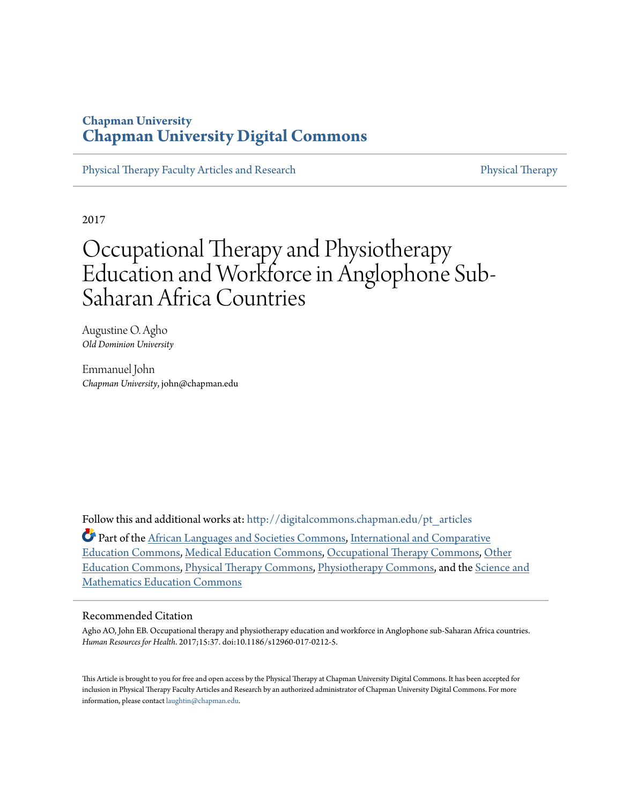## **Chapman University [Chapman University Digital Commons](http://digitalcommons.chapman.edu?utm_source=digitalcommons.chapman.edu%2Fpt_articles%2F58&utm_medium=PDF&utm_campaign=PDFCoverPages)**

[Physical Therapy Faculty Articles and Research](http://digitalcommons.chapman.edu/pt_articles?utm_source=digitalcommons.chapman.edu%2Fpt_articles%2F58&utm_medium=PDF&utm_campaign=PDFCoverPages) [Physical Therapy](http://digitalcommons.chapman.edu/physicaltherapy?utm_source=digitalcommons.chapman.edu%2Fpt_articles%2F58&utm_medium=PDF&utm_campaign=PDFCoverPages)

2017

## Occupational Therapy and Physiotherapy Education and Workforce in Anglophone Sub-Saharan Africa Countries

Augustine O. Agho *Old Dominion University*

Emmanuel John *Chapman University*, john@chapman.edu

Follow this and additional works at: [http://digitalcommons.chapman.edu/pt\\_articles](http://digitalcommons.chapman.edu/pt_articles?utm_source=digitalcommons.chapman.edu%2Fpt_articles%2F58&utm_medium=PDF&utm_campaign=PDFCoverPages)

Part of the [African Languages and Societies Commons](http://network.bepress.com/hgg/discipline/476?utm_source=digitalcommons.chapman.edu%2Fpt_articles%2F58&utm_medium=PDF&utm_campaign=PDFCoverPages), [International and Comparative](http://network.bepress.com/hgg/discipline/797?utm_source=digitalcommons.chapman.edu%2Fpt_articles%2F58&utm_medium=PDF&utm_campaign=PDFCoverPages) [Education Commons](http://network.bepress.com/hgg/discipline/797?utm_source=digitalcommons.chapman.edu%2Fpt_articles%2F58&utm_medium=PDF&utm_campaign=PDFCoverPages), [Medical Education Commons](http://network.bepress.com/hgg/discipline/1125?utm_source=digitalcommons.chapman.edu%2Fpt_articles%2F58&utm_medium=PDF&utm_campaign=PDFCoverPages), [Occupational Therapy Commons,](http://network.bepress.com/hgg/discipline/752?utm_source=digitalcommons.chapman.edu%2Fpt_articles%2F58&utm_medium=PDF&utm_campaign=PDFCoverPages) [Other](http://network.bepress.com/hgg/discipline/811?utm_source=digitalcommons.chapman.edu%2Fpt_articles%2F58&utm_medium=PDF&utm_campaign=PDFCoverPages) [Education Commons](http://network.bepress.com/hgg/discipline/811?utm_source=digitalcommons.chapman.edu%2Fpt_articles%2F58&utm_medium=PDF&utm_campaign=PDFCoverPages), [Physical Therapy Commons](http://network.bepress.com/hgg/discipline/754?utm_source=digitalcommons.chapman.edu%2Fpt_articles%2F58&utm_medium=PDF&utm_campaign=PDFCoverPages), [Physiotherapy Commons](http://network.bepress.com/hgg/discipline/1086?utm_source=digitalcommons.chapman.edu%2Fpt_articles%2F58&utm_medium=PDF&utm_campaign=PDFCoverPages), and the [Science and](http://network.bepress.com/hgg/discipline/800?utm_source=digitalcommons.chapman.edu%2Fpt_articles%2F58&utm_medium=PDF&utm_campaign=PDFCoverPages) [Mathematics Education Commons](http://network.bepress.com/hgg/discipline/800?utm_source=digitalcommons.chapman.edu%2Fpt_articles%2F58&utm_medium=PDF&utm_campaign=PDFCoverPages)

## Recommended Citation

Agho AO, John EB. Occupational therapy and physiotherapy education and workforce in Anglophone sub-Saharan Africa countries. *Human Resources for Health*. 2017;15:37. doi:10.1186/s12960-017-0212-5.

This Article is brought to you for free and open access by the Physical Therapy at Chapman University Digital Commons. It has been accepted for inclusion in Physical Therapy Faculty Articles and Research by an authorized administrator of Chapman University Digital Commons. For more information, please contact [laughtin@chapman.edu](mailto:laughtin@chapman.edu).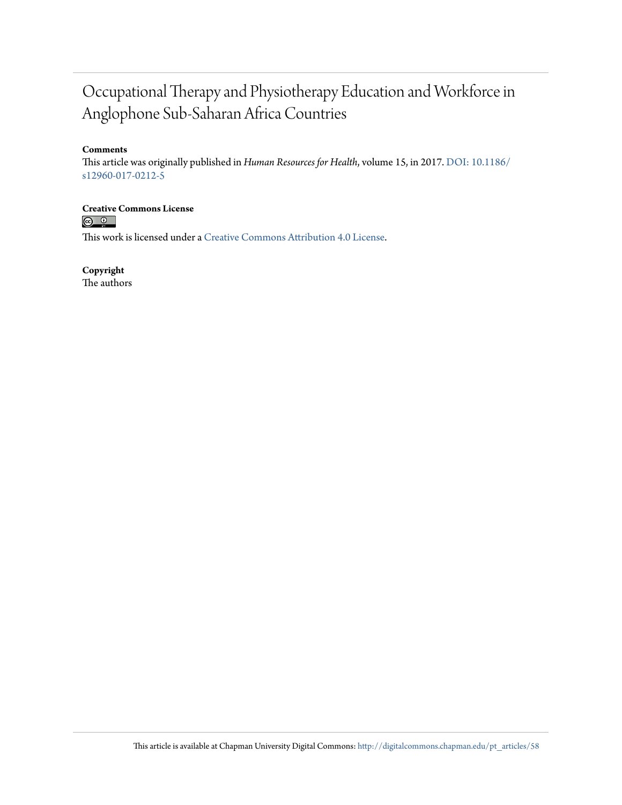## Occupational Therapy and Physiotherapy Education and Workforce in Anglophone Sub-Saharan Africa Countries

### **Comments**

This article was originally published in *Human Resources for Health*, volume 15, in 2017. [DOI: 10.1186/](http://dx.doi.org/10.1186/s12960-017-0212-5) [s12960-017-0212-5](http://dx.doi.org/10.1186/s12960-017-0212-5)

**Creative Commons License**<br> **<b>C Q Q** 

This work is licensed under a [Creative Commons Attribution 4.0 License.](http://creativecommons.org/licenses/by/4.0/)

**Copyright**

The authors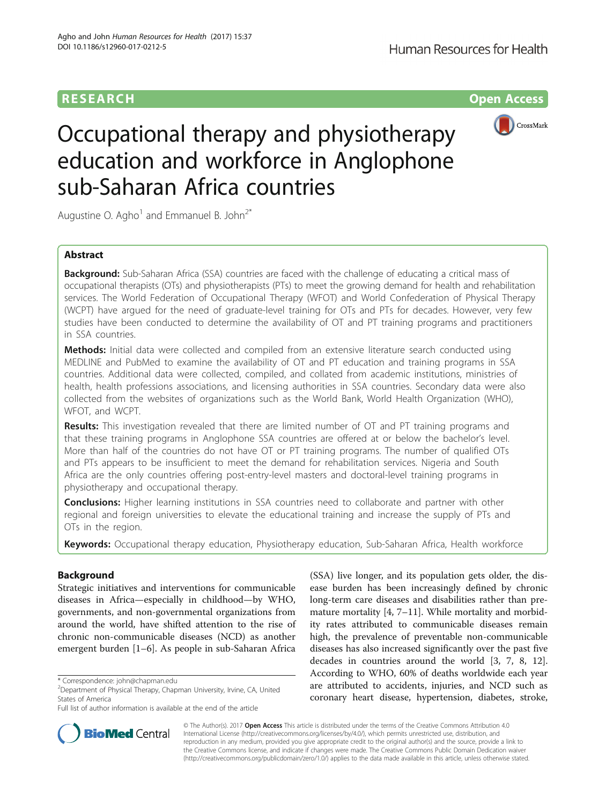## **RESEARCH CHOOSE CONSUMING THE CHOOSE CONSUMING THE CONSUMING TO A CONSUMING THE CONSUMING THE CONSUMING TO A CONSUMING THE CONSUMING THE CONSUMING THE CONSUMING THE CONSUMING THE CONSUMING THE CONSUMING THE CONSUMING TH**



# Occupational therapy and physiotherapy education and workforce in Anglophone sub-Saharan Africa countries

Augustine O. Agho<sup>1</sup> and Emmanuel B. John<sup>2\*</sup>

## Abstract

**Background:** Sub-Saharan Africa (SSA) countries are faced with the challenge of educating a critical mass of occupational therapists (OTs) and physiotherapists (PTs) to meet the growing demand for health and rehabilitation services. The World Federation of Occupational Therapy (WFOT) and World Confederation of Physical Therapy (WCPT) have argued for the need of graduate-level training for OTs and PTs for decades. However, very few studies have been conducted to determine the availability of OT and PT training programs and practitioners in SSA countries.

Methods: Initial data were collected and compiled from an extensive literature search conducted using MEDLINE and PubMed to examine the availability of OT and PT education and training programs in SSA countries. Additional data were collected, compiled, and collated from academic institutions, ministries of health, health professions associations, and licensing authorities in SSA countries. Secondary data were also collected from the websites of organizations such as the World Bank, World Health Organization (WHO), WFOT, and WCPT.

Results: This investigation revealed that there are limited number of OT and PT training programs and that these training programs in Anglophone SSA countries are offered at or below the bachelor's level. More than half of the countries do not have OT or PT training programs. The number of qualified OTs and PTs appears to be insufficient to meet the demand for rehabilitation services. Nigeria and South Africa are the only countries offering post-entry-level masters and doctoral-level training programs in physiotherapy and occupational therapy.

**Conclusions:** Higher learning institutions in SSA countries need to collaborate and partner with other regional and foreign universities to elevate the educational training and increase the supply of PTs and OTs in the region.

Keywords: Occupational therapy education, Physiotherapy education, Sub-Saharan Africa, Health workforce

### Background

Strategic initiatives and interventions for communicable diseases in Africa—especially in childhood—by WHO, governments, and non-governmental organizations from around the world, have shifted attention to the rise of chronic non-communicable diseases (NCD) as another emergent burden [\[1](#page-7-0)–[6](#page-8-0)]. As people in sub-Saharan Africa

(SSA) live longer, and its population gets older, the disease burden has been increasingly defined by chronic long-term care diseases and disabilities rather than pre-mature mortality [\[4](#page-7-0), [7](#page-8-0)–[11\]](#page-8-0). While mortality and morbidity rates attributed to communicable diseases remain high, the prevalence of preventable non-communicable diseases has also increased significantly over the past five decades in countries around the world [\[3](#page-7-0), [7, 8, 12](#page-8-0)]. According to WHO, 60% of deaths worldwide each year are attributed to accidents, injuries, and NCD such as coronary heart disease, hypertension, diabetes, stroke,



© The Author(s). 2017 **Open Access** This article is distributed under the terms of the Creative Commons Attribution 4.0 International License [\(http://creativecommons.org/licenses/by/4.0/](http://creativecommons.org/licenses/by/4.0/)), which permits unrestricted use, distribution, and reproduction in any medium, provided you give appropriate credit to the original author(s) and the source, provide a link to the Creative Commons license, and indicate if changes were made. The Creative Commons Public Domain Dedication waiver [\(http://creativecommons.org/publicdomain/zero/1.0/](http://creativecommons.org/publicdomain/zero/1.0/)) applies to the data made available in this article, unless otherwise stated.

<sup>\*</sup> Correspondence: [john@chapman.edu](mailto:john@chapman.edu) <sup>2</sup>

Department of Physical Therapy, Chapman University, Irvine, CA, United States of America

Full list of author information is available at the end of the article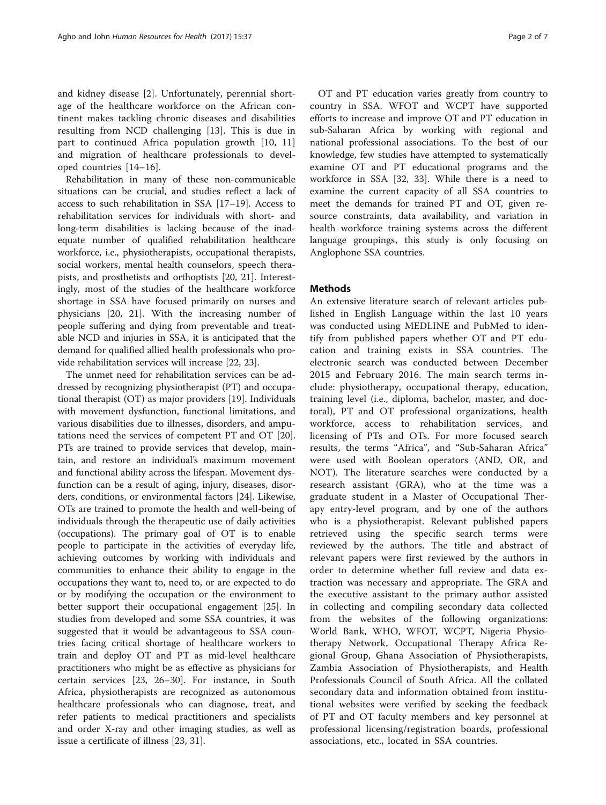and kidney disease [[2\]](#page-7-0). Unfortunately, perennial shortage of the healthcare workforce on the African continent makes tackling chronic diseases and disabilities resulting from NCD challenging [\[13](#page-8-0)]. This is due in part to continued Africa population growth [[10, 11](#page-8-0)] and migration of healthcare professionals to developed countries [[14](#page-8-0)–[16\]](#page-8-0).

Rehabilitation in many of these non-communicable situations can be crucial, and studies reflect a lack of access to such rehabilitation in SSA [[17](#page-8-0)–[19](#page-8-0)]. Access to rehabilitation services for individuals with short- and long-term disabilities is lacking because of the inadequate number of qualified rehabilitation healthcare workforce, i.e., physiotherapists, occupational therapists, social workers, mental health counselors, speech therapists, and prosthetists and orthoptists [\[20](#page-8-0), [21\]](#page-8-0). Interestingly, most of the studies of the healthcare workforce shortage in SSA have focused primarily on nurses and physicians [\[20](#page-8-0), [21\]](#page-8-0). With the increasing number of people suffering and dying from preventable and treatable NCD and injuries in SSA, it is anticipated that the demand for qualified allied health professionals who provide rehabilitation services will increase [\[22, 23\]](#page-8-0).

The unmet need for rehabilitation services can be addressed by recognizing physiotherapist (PT) and occupational therapist (OT) as major providers [[19](#page-8-0)]. Individuals with movement dysfunction, functional limitations, and various disabilities due to illnesses, disorders, and amputations need the services of competent PT and OT [\[20](#page-8-0)]. PTs are trained to provide services that develop, maintain, and restore an individual's maximum movement and functional ability across the lifespan. Movement dysfunction can be a result of aging, injury, diseases, disorders, conditions, or environmental factors [\[24](#page-8-0)]. Likewise, OTs are trained to promote the health and well-being of individuals through the therapeutic use of daily activities (occupations). The primary goal of OT is to enable people to participate in the activities of everyday life, achieving outcomes by working with individuals and communities to enhance their ability to engage in the occupations they want to, need to, or are expected to do or by modifying the occupation or the environment to better support their occupational engagement [[25](#page-8-0)]. In studies from developed and some SSA countries, it was suggested that it would be advantageous to SSA countries facing critical shortage of healthcare workers to train and deploy OT and PT as mid-level healthcare practitioners who might be as effective as physicians for certain services [\[23, 26](#page-8-0)–[30](#page-8-0)]. For instance, in South Africa, physiotherapists are recognized as autonomous healthcare professionals who can diagnose, treat, and refer patients to medical practitioners and specialists and order X-ray and other imaging studies, as well as issue a certificate of illness [[23, 31\]](#page-8-0).

OT and PT education varies greatly from country to country in SSA. WFOT and WCPT have supported efforts to increase and improve OT and PT education in sub-Saharan Africa by working with regional and national professional associations. To the best of our knowledge, few studies have attempted to systematically examine OT and PT educational programs and the workforce in SSA [[32, 33](#page-8-0)]. While there is a need to examine the current capacity of all SSA countries to meet the demands for trained PT and OT, given resource constraints, data availability, and variation in health workforce training systems across the different language groupings, this study is only focusing on Anglophone SSA countries.

#### **Methods**

An extensive literature search of relevant articles published in English Language within the last 10 years was conducted using MEDLINE and PubMed to identify from published papers whether OT and PT education and training exists in SSA countries. The electronic search was conducted between December 2015 and February 2016. The main search terms include: physiotherapy, occupational therapy, education, training level (i.e., diploma, bachelor, master, and doctoral), PT and OT professional organizations, health workforce, access to rehabilitation services, and licensing of PTs and OTs. For more focused search results, the terms "Africa", and "Sub-Saharan Africa" were used with Boolean operators (AND, OR, and NOT). The literature searches were conducted by a research assistant (GRA), who at the time was a graduate student in a Master of Occupational Therapy entry-level program, and by one of the authors who is a physiotherapist. Relevant published papers retrieved using the specific search terms were reviewed by the authors. The title and abstract of relevant papers were first reviewed by the authors in order to determine whether full review and data extraction was necessary and appropriate. The GRA and the executive assistant to the primary author assisted in collecting and compiling secondary data collected from the websites of the following organizations: World Bank, WHO, WFOT, WCPT, Nigeria Physiotherapy Network, Occupational Therapy Africa Regional Group, Ghana Association of Physiotherapists, Zambia Association of Physiotherapists, and Health Professionals Council of South Africa. All the collated secondary data and information obtained from institutional websites were verified by seeking the feedback of PT and OT faculty members and key personnel at professional licensing/registration boards, professional associations, etc., located in SSA countries.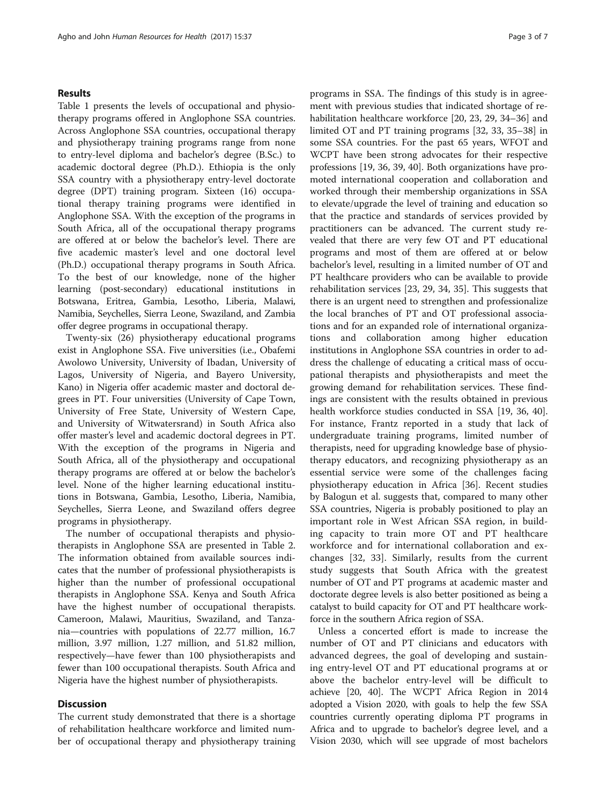#### Results

Table [1](#page-5-0) presents the levels of occupational and physiotherapy programs offered in Anglophone SSA countries. Across Anglophone SSA countries, occupational therapy and physiotherapy training programs range from none to entry-level diploma and bachelor's degree (B.Sc.) to academic doctoral degree (Ph.D.). Ethiopia is the only SSA country with a physiotherapy entry-level doctorate degree (DPT) training program. Sixteen (16) occupational therapy training programs were identified in Anglophone SSA. With the exception of the programs in South Africa, all of the occupational therapy programs are offered at or below the bachelor's level. There are five academic master's level and one doctoral level (Ph.D.) occupational therapy programs in South Africa. To the best of our knowledge, none of the higher learning (post-secondary) educational institutions in Botswana, Eritrea, Gambia, Lesotho, Liberia, Malawi, Namibia, Seychelles, Sierra Leone, Swaziland, and Zambia offer degree programs in occupational therapy.

Twenty-six (26) physiotherapy educational programs exist in Anglophone SSA. Five universities (i.e., Obafemi Awolowo University, University of Ibadan, University of Lagos, University of Nigeria, and Bayero University, Kano) in Nigeria offer academic master and doctoral degrees in PT. Four universities (University of Cape Town, University of Free State, University of Western Cape, and University of Witwatersrand) in South Africa also offer master's level and academic doctoral degrees in PT. With the exception of the programs in Nigeria and South Africa, all of the physiotherapy and occupational therapy programs are offered at or below the bachelor's level. None of the higher learning educational institutions in Botswana, Gambia, Lesotho, Liberia, Namibia, Seychelles, Sierra Leone, and Swaziland offers degree programs in physiotherapy.

The number of occupational therapists and physiotherapists in Anglophone SSA are presented in Table [2](#page-6-0). The information obtained from available sources indicates that the number of professional physiotherapists is higher than the number of professional occupational therapists in Anglophone SSA. Kenya and South Africa have the highest number of occupational therapists. Cameroon, Malawi, Mauritius, Swaziland, and Tanzania—countries with populations of 22.77 million, 16.7 million, 3.97 million, 1.27 million, and 51.82 million, respectively—have fewer than 100 physiotherapists and fewer than 100 occupational therapists. South Africa and Nigeria have the highest number of physiotherapists.

#### **Discussion**

The current study demonstrated that there is a shortage of rehabilitation healthcare workforce and limited number of occupational therapy and physiotherapy training programs in SSA. The findings of this study is in agreement with previous studies that indicated shortage of rehabilitation healthcare workforce [[20](#page-8-0), [23](#page-8-0), [29](#page-8-0), [34](#page-8-0)–[36](#page-8-0)] and limited OT and PT training programs [[32, 33](#page-8-0), [35](#page-8-0)–[38](#page-8-0)] in some SSA countries. For the past 65 years, WFOT and WCPT have been strong advocates for their respective professions [[19](#page-8-0), [36](#page-8-0), [39](#page-8-0), [40](#page-8-0)]. Both organizations have promoted international cooperation and collaboration and worked through their membership organizations in SSA to elevate/upgrade the level of training and education so that the practice and standards of services provided by practitioners can be advanced. The current study revealed that there are very few OT and PT educational programs and most of them are offered at or below bachelor's level, resulting in a limited number of OT and PT healthcare providers who can be available to provide rehabilitation services [\[23](#page-8-0), [29](#page-8-0), [34, 35\]](#page-8-0). This suggests that there is an urgent need to strengthen and professionalize the local branches of PT and OT professional associations and for an expanded role of international organizations and collaboration among higher education institutions in Anglophone SSA countries in order to address the challenge of educating a critical mass of occupational therapists and physiotherapists and meet the growing demand for rehabilitation services. These findings are consistent with the results obtained in previous health workforce studies conducted in SSA [\[19, 36, 40](#page-8-0)]. For instance, Frantz reported in a study that lack of undergraduate training programs, limited number of therapists, need for upgrading knowledge base of physiotherapy educators, and recognizing physiotherapy as an essential service were some of the challenges facing physiotherapy education in Africa [\[36](#page-8-0)]. Recent studies by Balogun et al. suggests that, compared to many other SSA countries, Nigeria is probably positioned to play an important role in West African SSA region, in building capacity to train more OT and PT healthcare workforce and for international collaboration and exchanges [[32, 33\]](#page-8-0). Similarly, results from the current study suggests that South Africa with the greatest number of OT and PT programs at academic master and doctorate degree levels is also better positioned as being a catalyst to build capacity for OT and PT healthcare workforce in the southern Africa region of SSA.

Unless a concerted effort is made to increase the number of OT and PT clinicians and educators with advanced degrees, the goal of developing and sustaining entry-level OT and PT educational programs at or above the bachelor entry-level will be difficult to achieve [[20](#page-8-0), [40\]](#page-8-0). The WCPT Africa Region in 2014 adopted a Vision 2020, with goals to help the few SSA countries currently operating diploma PT programs in Africa and to upgrade to bachelor's degree level, and a Vision 2030, which will see upgrade of most bachelors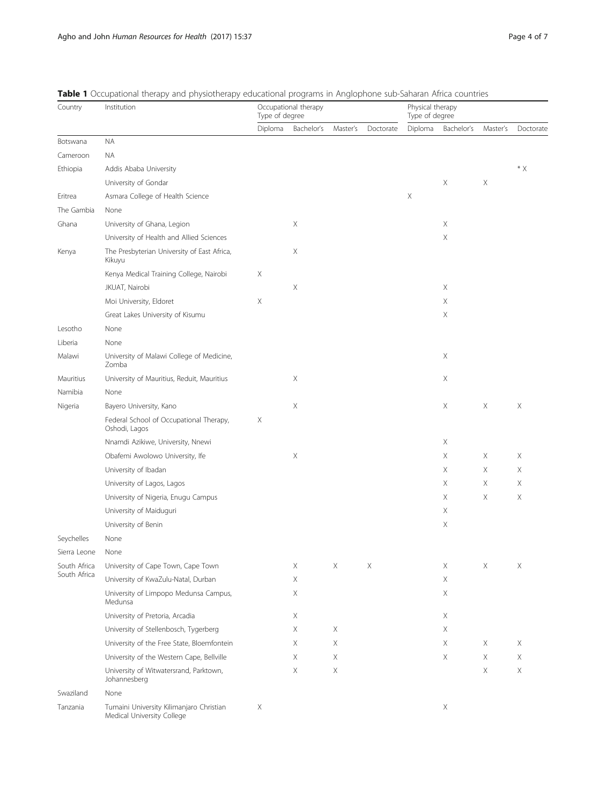| Country                      | Institution                                                            | <b>Table T</b> Occupational therapy and physiotherapy educational programs in Anglophone sub-sanaran Amca countries<br>Occupational therapy<br>Type of degree |            |             | Physical therapy<br>Type of degree |         |            |          |             |
|------------------------------|------------------------------------------------------------------------|---------------------------------------------------------------------------------------------------------------------------------------------------------------|------------|-------------|------------------------------------|---------|------------|----------|-------------|
|                              |                                                                        | Diploma                                                                                                                                                       | Bachelor's | Master's    | Doctorate                          | Diploma | Bachelor's | Master's | Doctorate   |
| Botswana                     | <b>NA</b>                                                              |                                                                                                                                                               |            |             |                                    |         |            |          |             |
| Cameroon                     | <b>NA</b>                                                              |                                                                                                                                                               |            |             |                                    |         |            |          |             |
| Ethiopia                     | Addis Ababa University                                                 |                                                                                                                                                               |            |             |                                    |         |            |          | $*$ X       |
|                              | University of Gondar                                                   |                                                                                                                                                               |            |             |                                    |         | Χ          | Χ        |             |
| Eritrea                      | Asmara College of Health Science                                       |                                                                                                                                                               |            |             |                                    | Χ       |            |          |             |
| The Gambia                   | None                                                                   |                                                                                                                                                               |            |             |                                    |         |            |          |             |
| Ghana                        | University of Ghana, Legion                                            |                                                                                                                                                               | Χ          |             |                                    |         | Χ          |          |             |
|                              | University of Health and Allied Sciences                               |                                                                                                                                                               |            |             |                                    |         | Χ          |          |             |
| Kenya                        | The Presbyterian University of East Africa,<br>Kikuyu                  |                                                                                                                                                               | Χ          |             |                                    |         |            |          |             |
|                              | Kenya Medical Training College, Nairobi                                | Χ                                                                                                                                                             |            |             |                                    |         |            |          |             |
|                              | JKUAT, Nairobi                                                         |                                                                                                                                                               | Χ          |             |                                    |         | Х          |          |             |
|                              | Moi University, Eldoret                                                | Χ                                                                                                                                                             |            |             |                                    |         | Χ          |          |             |
|                              | Great Lakes University of Kisumu                                       |                                                                                                                                                               |            |             |                                    |         | Χ          |          |             |
| Lesotho                      | None                                                                   |                                                                                                                                                               |            |             |                                    |         |            |          |             |
| Liberia                      | None                                                                   |                                                                                                                                                               |            |             |                                    |         |            |          |             |
| Malawi                       | University of Malawi College of Medicine,<br>Zomba                     |                                                                                                                                                               |            |             |                                    |         | Х          |          |             |
| Mauritius                    | University of Mauritius, Reduit, Mauritius                             |                                                                                                                                                               | Χ          |             |                                    |         | Х          |          |             |
| Namibia                      | None                                                                   |                                                                                                                                                               |            |             |                                    |         |            |          |             |
| Nigeria                      | Bayero University, Kano                                                |                                                                                                                                                               | Χ          |             |                                    |         | X          | Χ        | Χ           |
|                              | Federal School of Occupational Therapy,<br>Oshodi, Lagos               | Χ                                                                                                                                                             |            |             |                                    |         |            |          |             |
|                              | Nnamdi Azikiwe, University, Nnewi                                      |                                                                                                                                                               |            |             |                                    |         | Χ          |          |             |
|                              | Obafemi Awolowo University, Ife                                        |                                                                                                                                                               | Χ          |             |                                    |         | Χ          | Χ        | Χ           |
|                              | University of Ibadan                                                   |                                                                                                                                                               |            |             |                                    |         | Χ          | Χ        | Χ           |
|                              | University of Lagos, Lagos                                             |                                                                                                                                                               |            |             |                                    |         | Χ          | Χ        | Χ           |
|                              | University of Nigeria, Enugu Campus                                    |                                                                                                                                                               |            |             |                                    |         | Χ          | Χ        | Χ           |
|                              | University of Maiduguri                                                |                                                                                                                                                               |            |             |                                    |         | Χ          |          |             |
|                              | University of Benin                                                    |                                                                                                                                                               |            |             |                                    |         | Χ          |          |             |
| Seychelles                   | None                                                                   |                                                                                                                                                               |            |             |                                    |         |            |          |             |
| Sierra Leone                 | None                                                                   |                                                                                                                                                               |            |             |                                    |         |            |          |             |
| South Africa<br>South Africa | University of Cape Town, Cape Town                                     |                                                                                                                                                               | Χ          | Χ           | Χ                                  |         | X          | Χ        | Χ           |
|                              | University of KwaZulu-Natal, Durban                                    |                                                                                                                                                               | Χ          |             |                                    |         | Χ          |          |             |
|                              | University of Limpopo Medunsa Campus,<br>Medunsa                       |                                                                                                                                                               | Χ          |             |                                    |         | X          |          |             |
|                              | University of Pretoria, Arcadia                                        |                                                                                                                                                               | Χ          |             |                                    |         | X          |          |             |
|                              | University of Stellenbosch, Tygerberg                                  |                                                                                                                                                               | Χ          | Χ           |                                    |         | Χ          |          |             |
|                              | University of the Free State, Bloemfontein                             |                                                                                                                                                               | Χ          | Χ           |                                    |         | X          | Χ        | Χ           |
|                              | University of the Western Cape, Bellville                              |                                                                                                                                                               | Χ          | Χ           |                                    |         | X          | Χ        | Χ           |
|                              | University of Witwatersrand, Parktown,<br>Johannesberg                 |                                                                                                                                                               | Χ          | $\mathsf X$ |                                    |         |            | Χ        | $\mathsf X$ |
| Swaziland                    | None                                                                   |                                                                                                                                                               |            |             |                                    |         |            |          |             |
| Tanzania                     | Tumaini University Kilimanjaro Christian<br>Medical University College | Χ                                                                                                                                                             |            |             |                                    |         | Χ          |          |             |

<span id="page-5-0"></span>Table 1 Occupational therapy and physiotherapy educational programs in Anglophone sub-Saharan Africa countries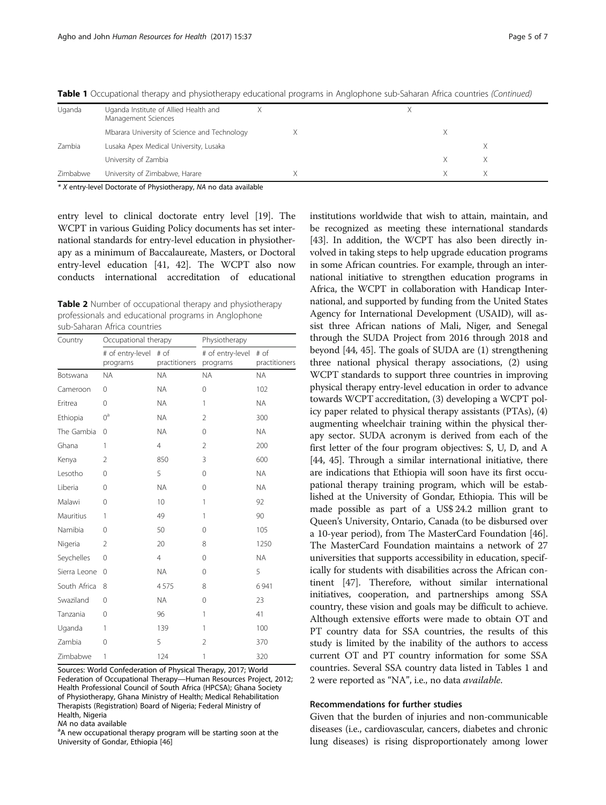| Uganda   | Uganda Institute of Allied Health and<br>Management Sciences |  |  |
|----------|--------------------------------------------------------------|--|--|
|          | Mbarara University of Science and Technology                 |  |  |
| Zambia   | Lusaka Apex Medical University, Lusaka                       |  |  |
|          | University of Zambia                                         |  |  |
| Zimbabwe | University of Zimbabwe, Harare                               |  |  |

<span id="page-6-0"></span>Table 1 Occupational therapy and physiotherapy educational programs in Anglophone sub-Saharan Africa countries (Continued)

\* X entry-level Doctorate of Physiotherapy, NA no data available

entry level to clinical doctorate entry level [[19](#page-8-0)]. The WCPT in various Guiding Policy documents has set international standards for entry-level education in physiotherapy as a minimum of Baccalaureate, Masters, or Doctoral entry-level education [\[41](#page-8-0), [42\]](#page-8-0). The WCPT also now conducts international accreditation of educational

Table 2 Number of occupational therapy and physiotherapy professionals and educational programs in Anglophone sub-Saharan Africa countries

| Country      | Occupational therapy         |                       | Physiotherapy                |                       |  |
|--------------|------------------------------|-----------------------|------------------------------|-----------------------|--|
|              | # of entry-level<br>programs | # of<br>practitioners | # of entry-level<br>programs | # of<br>practitioners |  |
| Botswana     | <b>NA</b>                    | NA.                   | NA.                          | <b>NA</b>             |  |
| Cameroon     | $\Omega$                     | <b>ΝA</b>             | $\mathbf 0$                  | 102                   |  |
| Eritrea      | $\Omega$                     | <b>NA</b>             | 1                            | <b>NA</b>             |  |
| Ethiopia     | O <sup>a</sup>               | <b>NA</b>             | $\overline{2}$               | 300                   |  |
| The Gambia   | $\Omega$                     | <b>NA</b>             | $\mathbf{0}$                 | <b>NA</b>             |  |
| Ghana        | 1                            | 4                     | $\overline{2}$               | 200                   |  |
| Kenya        | $\overline{2}$               | 850                   | 3                            | 600                   |  |
| Lesotho      | $\Omega$                     | 5                     | $\mathbf 0$                  | <b>NA</b>             |  |
| Liberia      | 0                            | <b>NA</b>             | $\mathbf 0$                  | <b>NA</b>             |  |
| Malawi       | $\Omega$                     | 10                    | 1                            | 92                    |  |
| Mauritius    | 1                            | 49                    | 1                            | 90                    |  |
| Namibia      | $\Omega$                     | 50                    | $\Omega$                     | 105                   |  |
| Nigeria      | 2                            | 20                    | 8                            | 1250                  |  |
| Seychelles   | $\Omega$                     | 4                     | $\mathbf 0$                  | <b>NA</b>             |  |
| Sierra Leone | $\Omega$                     | <b>NA</b>             | $\mathbf 0$                  | 5                     |  |
| South Africa | 8                            | 4575                  | 8                            | 6941                  |  |
| Swaziland    | $\Omega$                     | <b>NA</b>             | $\Omega$                     | 23                    |  |
| Tanzania     | 0                            | 96                    | 1                            | 41                    |  |
| Uganda       | 1                            | 139                   | 1                            | 100                   |  |
| Zambia       | $\Omega$                     | 5                     | $\overline{2}$               | 370                   |  |
| Zimbabwe     | 1                            | 124                   | 1                            | 320                   |  |

Sources: World Confederation of Physical Therapy, 2017; World Federation of Occupational Therapy—Human Resources Project, 2012; Health Professional Council of South Africa (HPCSA); Ghana Society of Physiotherapy, Ghana Ministry of Health; Medical Rehabilitation Therapists (Registration) Board of Nigeria; Federal Ministry of Health, Nigeria

NA no data available

<sup>a</sup>A new occupational therapy program will be starting soon at the University of Gondar, Ethiopia [[46](#page-8-0)]

institutions worldwide that wish to attain, maintain, and be recognized as meeting these international standards [[43](#page-8-0)]. In addition, the WCPT has also been directly involved in taking steps to help upgrade education programs in some African countries. For example, through an international initiative to strengthen education programs in Africa, the WCPT in collaboration with Handicap International, and supported by funding from the United States Agency for International Development (USAID), will assist three African nations of Mali, Niger, and Senegal through the SUDA Project from 2016 through 2018 and beyond [\[44, 45](#page-8-0)]. The goals of SUDA are (1) strengthening three national physical therapy associations, (2) using WCPT standards to support three countries in improving physical therapy entry-level education in order to advance towards WCPT accreditation, (3) developing a WCPT policy paper related to physical therapy assistants (PTAs), (4) augmenting wheelchair training within the physical therapy sector. SUDA acronym is derived from each of the first letter of the four program objectives: S, U, D, and A [[44](#page-8-0), [45](#page-8-0)]. Through a similar international initiative, there are indications that Ethiopia will soon have its first occupational therapy training program, which will be established at the University of Gondar, Ethiopia. This will be made possible as part of a US\$ 24.2 million grant to Queen's University, Ontario, Canada (to be disbursed over a 10-year period), from The MasterCard Foundation [[46](#page-8-0)]. The MasterCard Foundation maintains a network of 27 universities that supports accessibility in education, specifically for students with disabilities across the African continent [[47](#page-8-0)]. Therefore, without similar international initiatives, cooperation, and partnerships among SSA country, these vision and goals may be difficult to achieve. Although extensive efforts were made to obtain OT and PT country data for SSA countries, the results of this study is limited by the inability of the authors to access current OT and PT country information for some SSA countries. Several SSA country data listed in Tables [1](#page-5-0) and 2 were reported as "NA", i.e., no data available.

#### Recommendations for further studies

Given that the burden of injuries and non-communicable diseases (i.e., cardiovascular, cancers, diabetes and chronic lung diseases) is rising disproportionately among lower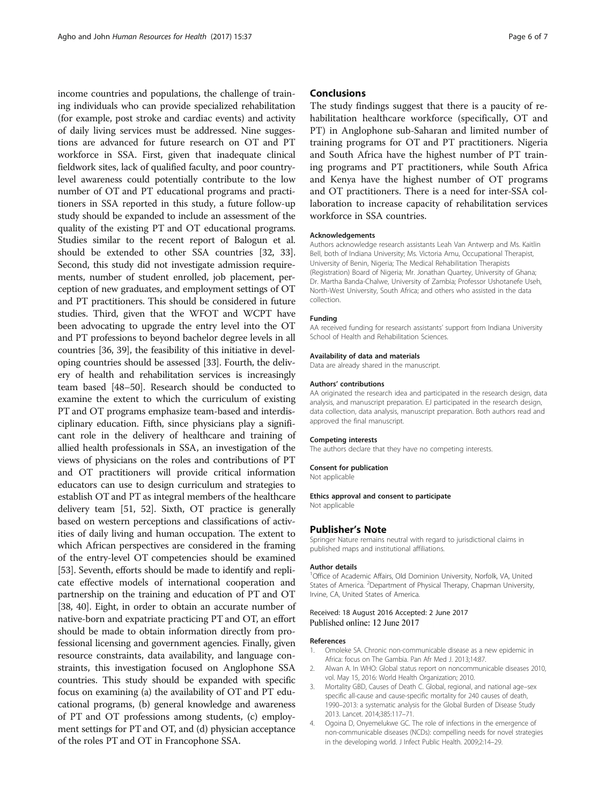<span id="page-7-0"></span>income countries and populations, the challenge of training individuals who can provide specialized rehabilitation (for example, post stroke and cardiac events) and activity of daily living services must be addressed. Nine suggestions are advanced for future research on OT and PT workforce in SSA. First, given that inadequate clinical fieldwork sites, lack of qualified faculty, and poor countrylevel awareness could potentially contribute to the low number of OT and PT educational programs and practitioners in SSA reported in this study, a future follow-up study should be expanded to include an assessment of the quality of the existing PT and OT educational programs. Studies similar to the recent report of Balogun et al. should be extended to other SSA countries [[32, 33](#page-8-0)]. Second, this study did not investigate admission requirements, number of student enrolled, job placement, perception of new graduates, and employment settings of OT and PT practitioners. This should be considered in future studies. Third, given that the WFOT and WCPT have been advocating to upgrade the entry level into the OT and PT professions to beyond bachelor degree levels in all countries [\[36, 39](#page-8-0)], the feasibility of this initiative in developing countries should be assessed [[33](#page-8-0)]. Fourth, the delivery of health and rehabilitation services is increasingly team based [\[48](#page-8-0)–[50\]](#page-8-0). Research should be conducted to examine the extent to which the curriculum of existing PT and OT programs emphasize team-based and interdisciplinary education. Fifth, since physicians play a significant role in the delivery of healthcare and training of allied health professionals in SSA, an investigation of the views of physicians on the roles and contributions of PT and OT practitioners will provide critical information educators can use to design curriculum and strategies to establish OT and PT as integral members of the healthcare delivery team [\[51](#page-8-0), [52](#page-8-0)]. Sixth, OT practice is generally based on western perceptions and classifications of activities of daily living and human occupation. The extent to which African perspectives are considered in the framing of the entry-level OT competencies should be examined [[53](#page-8-0)]. Seventh, efforts should be made to identify and replicate effective models of international cooperation and partnership on the training and education of PT and OT [[38](#page-8-0), [40\]](#page-8-0). Eight, in order to obtain an accurate number of native-born and expatriate practicing PT and OT, an effort should be made to obtain information directly from professional licensing and government agencies. Finally, given resource constraints, data availability, and language constraints, this investigation focused on Anglophone SSA countries. This study should be expanded with specific focus on examining (a) the availability of OT and PT educational programs, (b) general knowledge and awareness of PT and OT professions among students, (c) employment settings for PT and OT, and (d) physician acceptance of the roles PT and OT in Francophone SSA.

#### Conclusions

The study findings suggest that there is a paucity of rehabilitation healthcare workforce (specifically, OT and PT) in Anglophone sub-Saharan and limited number of training programs for OT and PT practitioners. Nigeria and South Africa have the highest number of PT training programs and PT practitioners, while South Africa and Kenya have the highest number of OT programs and OT practitioners. There is a need for inter-SSA collaboration to increase capacity of rehabilitation services workforce in SSA countries.

#### Acknowledgements

Authors acknowledge research assistants Leah Van Antwerp and Ms. Kaitlin Bell, both of Indiana University; Ms. Victoria Amu, Occupational Therapist, University of Benin, Nigeria; The Medical Rehabilitation Therapists (Registration) Board of Nigeria; Mr. Jonathan Quartey, University of Ghana; Dr. Martha Banda-Chalwe, University of Zambia; Professor Ushotanefe Useh, North-West University, South Africa; and others who assisted in the data collection.

#### Funding

AA received funding for research assistants' support from Indiana University School of Health and Rehabilitation Sciences.

#### Availability of data and materials

Data are already shared in the manuscript.

#### Authors' contributions

AA originated the research idea and participated in the research design, data analysis, and manuscript preparation. EJ participated in the research design, data collection, data analysis, manuscript preparation. Both authors read and approved the final manuscript.

#### Competing interests

The authors declare that they have no competing interests.

#### Consent for publication

Not applicable

#### Ethics approval and consent to participate

Not applicable

#### Publisher's Note

Springer Nature remains neutral with regard to jurisdictional claims in published maps and institutional affiliations.

#### Author details

<sup>1</sup>Office of Academic Affairs, Old Dominion University, Norfolk, VA, United States of America. <sup>2</sup>Department of Physical Therapy, Chapman University, Irvine, CA, United States of America.

#### Received: 18 August 2016 Accepted: 2 June 2017 Published online: 12 June 2017

#### References

- 1. Omoleke SA. Chronic non-communicable disease as a new epidemic in Africa: focus on The Gambia. Pan Afr Med J. 2013;14:87.
- 2. Alwan A. In WHO: Global status report on noncommunicable diseases 2010, vol. May 15, 2016: World Health Organization; 2010.
- 3. Mortality GBD, Causes of Death C. Global, regional, and national age–sex specific all-cause and cause-specific mortality for 240 causes of death, 1990–2013: a systematic analysis for the Global Burden of Disease Study 2013. Lancet. 2014;385:117–71.
- 4. Ogoina D, Onyemelukwe GC. The role of infections in the emergence of non-communicable diseases (NCDs): compelling needs for novel strategies in the developing world. J Infect Public Health. 2009;2:14–29.